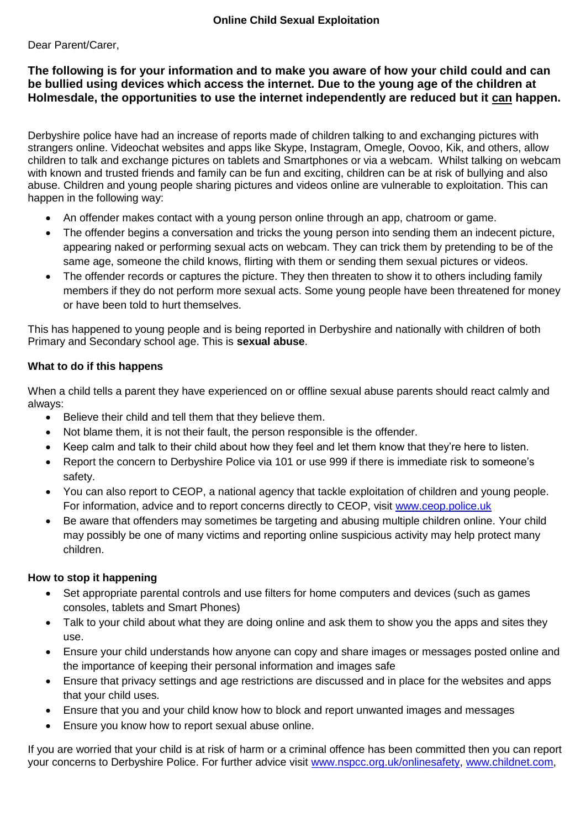## Dear Parent/Carer,

## **The following is for your information and to make you aware of how your child could and can be bullied using devices which access the internet. Due to the young age of the children at Holmesdale, the opportunities to use the internet independently are reduced but it can happen.**

Derbyshire police have had an increase of reports made of children talking to and exchanging pictures with strangers online. Videochat websites and apps like Skype, Instagram, Omegle, Oovoo, Kik, and others, allow children to talk and exchange pictures on tablets and Smartphones or via a webcam. Whilst talking on webcam with known and trusted friends and family can be fun and exciting, children can be at risk of bullying and also abuse. Children and young people sharing pictures and videos online are vulnerable to exploitation. This can happen in the following way:

- An offender makes contact with a young person online through an app, chatroom or game.
- The offender begins a conversation and tricks the young person into sending them an indecent picture, appearing naked or performing sexual acts on webcam. They can trick them by pretending to be of the same age, someone the child knows, flirting with them or sending them sexual pictures or videos.
- The offender records or captures the picture. They then threaten to show it to others including family members if they do not perform more sexual acts. Some young people have been threatened for money or have been told to hurt themselves.

This has happened to young people and is being reported in Derbyshire and nationally with children of both Primary and Secondary school age. This is **sexual abuse**.

## **What to do if this happens**

When a child tells a parent they have experienced on or offline sexual abuse parents should react calmly and always:

- Believe their child and tell them that they believe them.
- Not blame them, it is not their fault, the person responsible is the offender.
- Keep calm and talk to their child about how they feel and let them know that they're here to listen.
- Report the concern to Derbyshire Police via 101 or use 999 if there is immediate risk to someone's safety.
- You can also report to CEOP, a national agency that tackle exploitation of children and young people. For information, advice and to report concerns directly to CEOP, visit [www.ceop.police.uk](http://www.ceop.police.uk/)
- Be aware that offenders may sometimes be targeting and abusing multiple children online. Your child may possibly be one of many victims and reporting online suspicious activity may help protect many children.

## **How to stop it happening**

- Set appropriate parental controls and use filters for home computers and devices (such as games consoles, tablets and Smart Phones)
- Talk to your child about what they are doing online and ask them to show you the apps and sites they use.
- Ensure your child understands how anyone can copy and share images or messages posted online and the importance of keeping their personal information and images safe
- Ensure that privacy settings and age restrictions are discussed and in place for the websites and apps that your child uses.
- Ensure that you and your child know how to block and report unwanted images and messages
- Ensure you know how to report sexual abuse online.

If you are worried that your child is at risk of harm or a criminal offence has been committed then you can report your concerns to Derbyshire Police. For further advice visit [www.nspcc.org.uk/onlinesafety,](http://www.nspcc.org.uk/onlinesafety) [www.childnet.com,](http://www.childnet.com/)